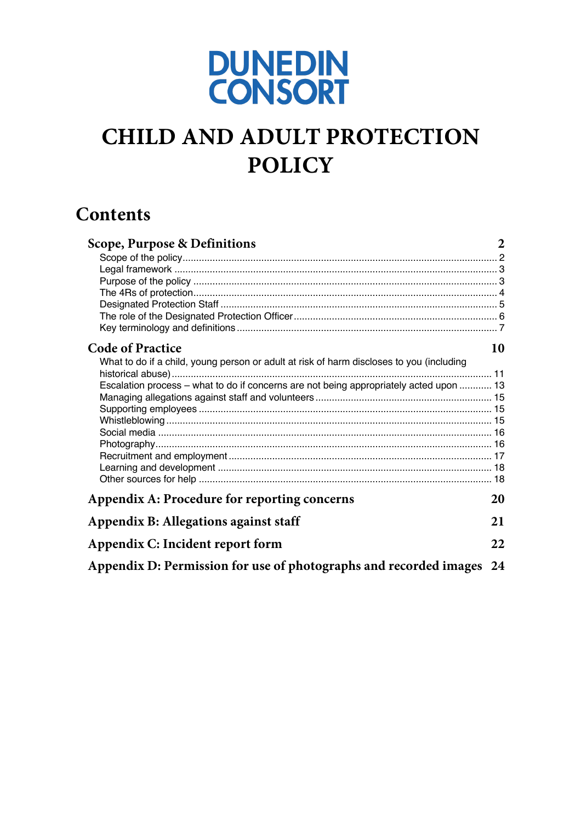

# **CHILD AND ADULT PROTECTION POLICY**

# **Contents**

| <b>Scope, Purpose &amp; Definitions</b>                                                  | $\overline{2}$ |
|------------------------------------------------------------------------------------------|----------------|
|                                                                                          |                |
|                                                                                          |                |
|                                                                                          |                |
|                                                                                          |                |
|                                                                                          |                |
|                                                                                          |                |
|                                                                                          |                |
| <b>Code of Practice</b>                                                                  | 10             |
| What to do if a child, young person or adult at risk of harm discloses to you (including |                |
|                                                                                          |                |
| Escalation process - what to do if concerns are not being appropriately acted upon  13   |                |
|                                                                                          |                |
|                                                                                          |                |
|                                                                                          |                |
|                                                                                          |                |
|                                                                                          |                |
|                                                                                          |                |
|                                                                                          |                |
|                                                                                          |                |
| Appendix A: Procedure for reporting concerns                                             | 20             |
| Appendix B: Allegations against staff                                                    | 21             |
| Appendix C: Incident report form                                                         |                |
| Appendix D: Permission for use of photographs and recorded images 24                     |                |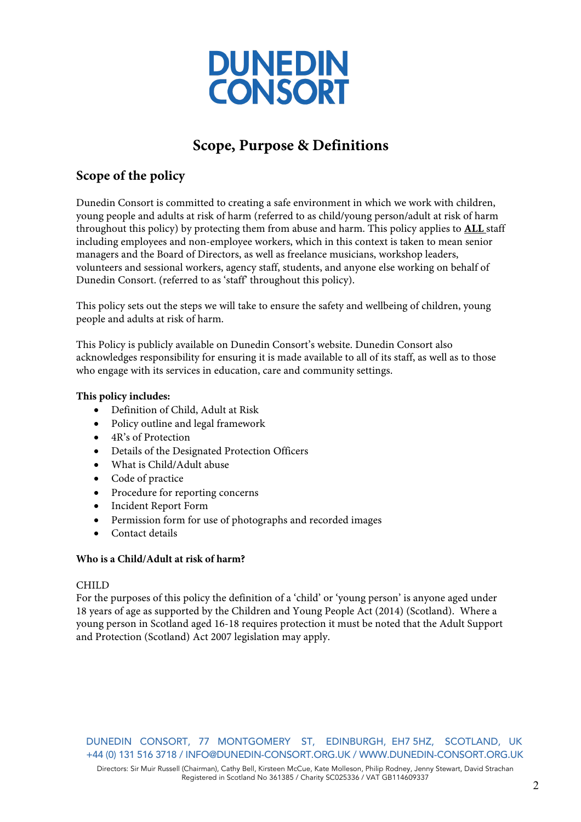

# **Scope, Purpose & Definitions**

### **Scope of the policy**

Dunedin Consort is committed to creating a safe environment in which we work with children, young people and adults at risk of harm (referred to as child/young person/adult at risk of harm throughout this policy) by protecting them from abuse and harm. This policy applies to **ALL** staff including employees and non-employee workers, which in this context is taken to mean senior managers and the Board of Directors, as well as freelance musicians, workshop leaders, volunteers and sessional workers, agency staff, students, and anyone else working on behalf of Dunedin Consort. (referred to as 'staff' throughout this policy).

This policy sets out the steps we will take to ensure the safety and wellbeing of children, young people and adults at risk of harm.

This Policy is publicly available on Dunedin Consort's website. Dunedin Consort also acknowledges responsibility for ensuring it is made available to all of its staff, as well as to those who engage with its services in education, care and community settings.

### **This policy includes:**

- Definition of Child, Adult at Risk
- Policy outline and legal framework
- 4R's of Protection
- Details of the Designated Protection Officers
- What is Child/Adult abuse
- Code of practice
- Procedure for reporting concerns
- Incident Report Form
- Permission form for use of photographs and recorded images
- Contact details

### **Who is a Child/Adult at risk of harm?**

#### CHILD

For the purposes of this policy the definition of a 'child' or 'young person' is anyone aged under 18 years of age as supported by the Children and Young People Act (2014) (Scotland). Where a young person in Scotland aged 16-18 requires protection it must be noted that the Adult Support and Protection (Scotland) Act 2007 legislation may apply.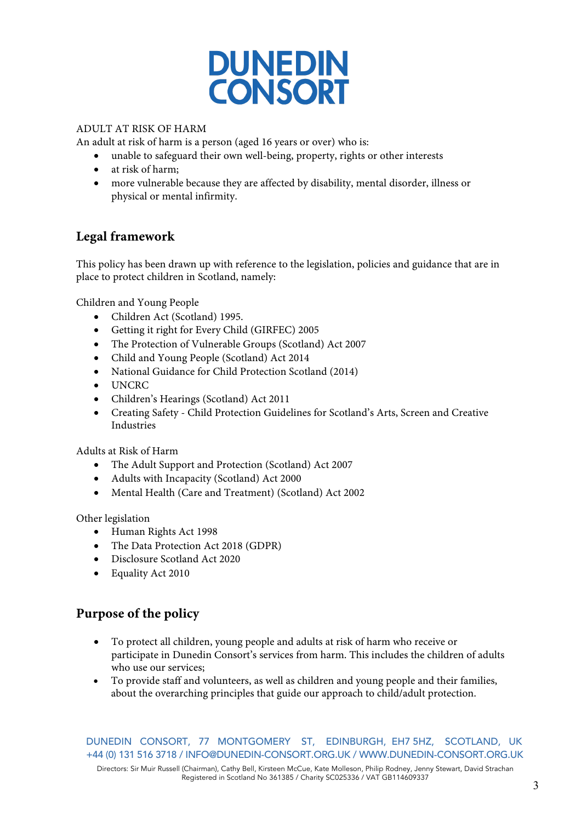

### ADULT AT RISK OF HARM

An adult at risk of harm is a person (aged 16 years or over) who is:

- unable to safeguard their own well-being, property, rights or other interests
- at risk of harm;
- more vulnerable because they are affected by disability, mental disorder, illness or physical or mental infirmity.

### **Legal framework**

This policy has been drawn up with reference to the legislation, policies and guidance that are in place to protect children in Scotland, namely:

Children and Young People

- Children Act (Scotland) 1995.
- Getting it right for Every Child (GIRFEC) 2005
- The Protection of Vulnerable Groups (Scotland) Act 2007
- Child and Young People (Scotland) Act 2014
- National Guidance for Child Protection Scotland (2014)
- UNCRC
- Children's Hearings (Scotland) Act 2011
- Creating Safety Child Protection Guidelines for Scotland's Arts, Screen and Creative Industries

Adults at Risk of Harm

- The Adult Support and Protection (Scotland) Act 2007
- Adults with Incapacity (Scotland) Act 2000
- Mental Health (Care and Treatment) (Scotland) Act 2002

Other legislation

- Human Rights Act 1998
- The Data Protection Act 2018 (GDPR)
- Disclosure Scotland Act 2020
- Equality Act 2010

### **Purpose of the policy**

- To protect all children, young people and adults at risk of harm who receive or participate in Dunedin Consort's services from harm. This includes the children of adults who use our services;
- To provide staff and volunteers, as well as children and young people and their families, about the overarching principles that guide our approach to child/adult protection.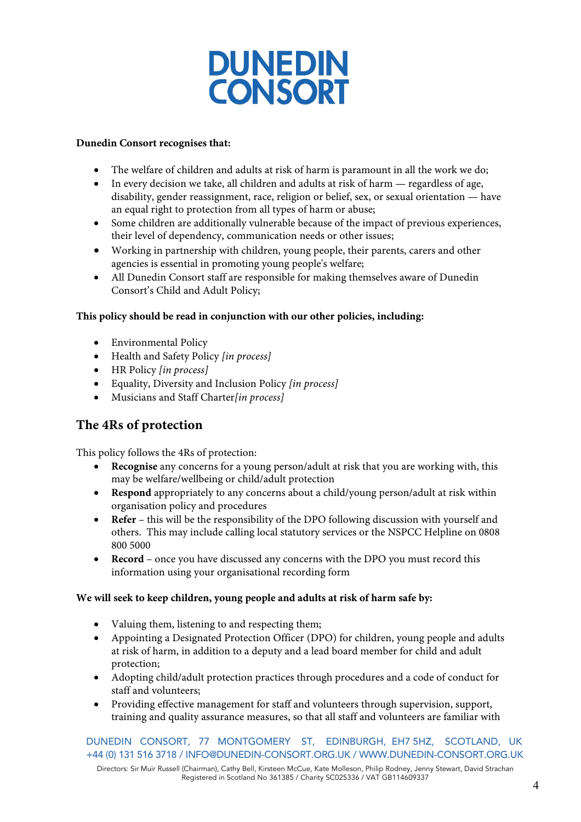

#### **Dunedin Consort recognises that:**

- The welfare of children and adults at risk of harm is paramount in all the work we do;
- In every decision we take, all children and adults at risk of harm regardless of age, disability, gender reassignment, race, religion or belief, sex, or sexual orientation — have an equal right to protection from all types of harm or abuse;
- Some children are additionally vulnerable because of the impact of previous experiences, their level of dependency, communication needs or other issues;
- Working in partnership with children, young people, their parents, carers and other agencies is essential in promoting young people's welfare;
- All Dunedin Consort staff are responsible for making themselves aware of Dunedin Consort's Child and Adult Policy;

#### **This policy should be read in conjunction with our other policies, including:**

- Environmental Policy
- Health and Safety Policy *[in process]*
- HR Policy *[in process]*
- Equality, Diversity and Inclusion Policy *[in process]*
- Musicians and Staff Charter*[in process]*

### **The 4Rs of protection**

This policy follows the 4Rs of protection:

- **Recognise** any concerns for a young person/adult at risk that you are working with, this may be welfare/wellbeing or child/adult protection
- **Respond** appropriately to any concerns about a child/young person/adult at risk within organisation policy and procedures
- **Refer** this will be the responsibility of the DPO following discussion with yourself and others. This may include calling local statutory services or the NSPCC Helpline on 0808 800 5000
- **Record** once you have discussed any concerns with the DPO you must record this information using your organisational recording form

#### **We will seek to keep children, young people and adults at risk of harm safe by:**

- Valuing them, listening to and respecting them;
- Appointing a Designated Protection Officer (DPO) for children, young people and adults at risk of harm, in addition to a deputy and a lead board member for child and adult protection;
- Adopting child/adult protection practices through procedures and a code of conduct for staff and volunteers;
- Providing effective management for staff and volunteers through supervision, support, training and quality assurance measures, so that all staff and volunteers are familiar with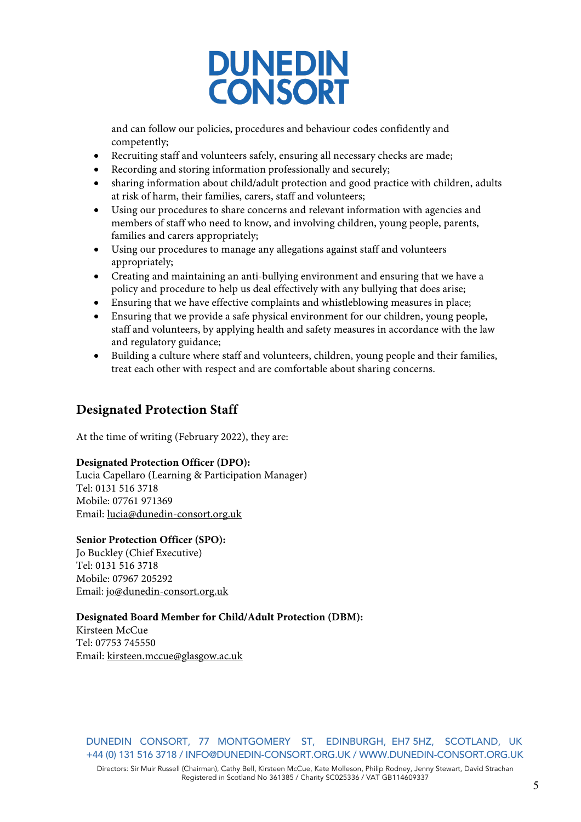

and can follow our policies, procedures and behaviour codes confidently and competently;

- Recruiting staff and volunteers safely, ensuring all necessary checks are made;
- Recording and storing information professionally and securely;
- sharing information about child/adult protection and good practice with children, adults at risk of harm, their families, carers, staff and volunteers;
- Using our procedures to share concerns and relevant information with agencies and members of staff who need to know, and involving children, young people, parents, families and carers appropriately;
- Using our procedures to manage any allegations against staff and volunteers appropriately;
- Creating and maintaining an anti-bullying environment and ensuring that we have a policy and procedure to help us deal effectively with any bullying that does arise;
- Ensuring that we have effective complaints and whistleblowing measures in place;
- Ensuring that we provide a safe physical environment for our children, young people, staff and volunteers, by applying health and safety measures in accordance with the law and regulatory guidance;
- Building a culture where staff and volunteers, children, young people and their families, treat each other with respect and are comfortable about sharing concerns.

### **Designated Protection Staff**

At the time of writing (February 2022), they are:

#### **Designated Protection Officer (DPO):**

Lucia Capellaro (Learning & Participation Manager) Tel: 0131 516 3718 Mobile: 07761 971369 Email: lucia@dunedin-consort.org.uk

#### **Senior Protection Officer (SPO):**

Jo Buckley (Chief Executive) Tel: 0131 516 3718 Mobile: 07967 205292 Email: jo@dunedin-consort.org.uk

### **Designated Board Member for Child/Adult Protection (DBM):**

Kirsteen McCue Tel: 07753 745550 Email: kirsteen.mccue@glasgow.ac.uk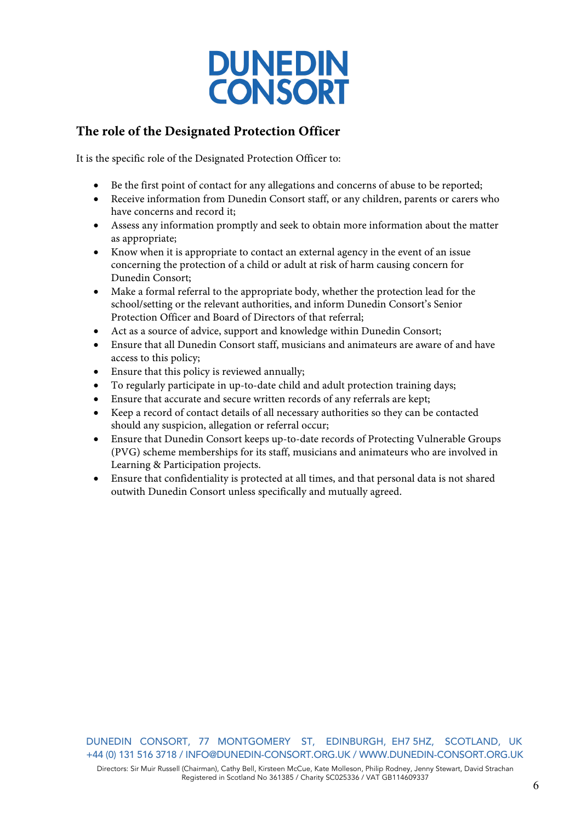

### **The role of the Designated Protection Officer**

It is the specific role of the Designated Protection Officer to:

- Be the first point of contact for any allegations and concerns of abuse to be reported;
- Receive information from Dunedin Consort staff, or any children, parents or carers who have concerns and record it;
- Assess any information promptly and seek to obtain more information about the matter as appropriate;
- Know when it is appropriate to contact an external agency in the event of an issue concerning the protection of a child or adult at risk of harm causing concern for Dunedin Consort;
- Make a formal referral to the appropriate body, whether the protection lead for the school/setting or the relevant authorities, and inform Dunedin Consort's Senior Protection Officer and Board of Directors of that referral;
- Act as a source of advice, support and knowledge within Dunedin Consort;
- Ensure that all Dunedin Consort staff, musicians and animateurs are aware of and have access to this policy;
- Ensure that this policy is reviewed annually;
- To regularly participate in up-to-date child and adult protection training days;
- Ensure that accurate and secure written records of any referrals are kept;
- Keep a record of contact details of all necessary authorities so they can be contacted should any suspicion, allegation or referral occur;
- Ensure that Dunedin Consort keeps up-to-date records of Protecting Vulnerable Groups (PVG) scheme memberships for its staff, musicians and animateurs who are involved in Learning & Participation projects.
- Ensure that confidentiality is protected at all times, and that personal data is not shared outwith Dunedin Consort unless specifically and mutually agreed.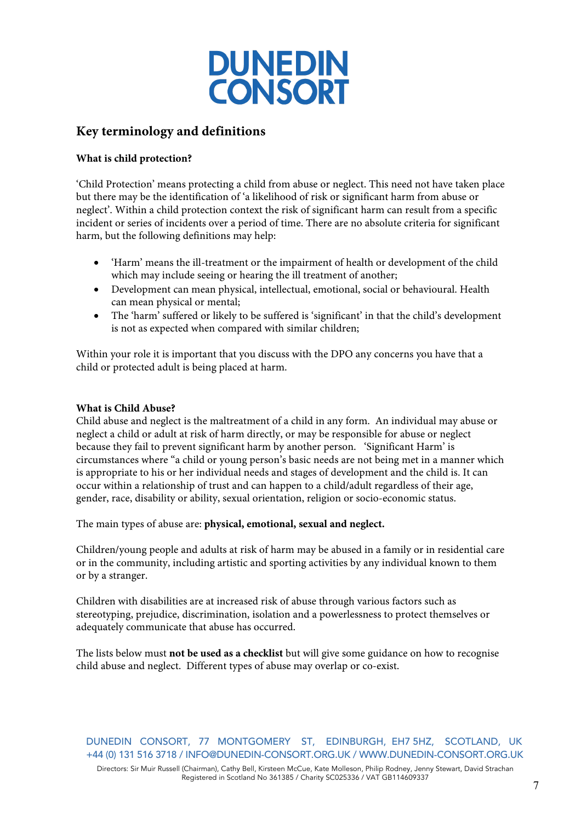

### **Key terminology and definitions**

### **What is child protection?**

'Child Protection' means protecting a child from abuse or neglect. This need not have taken place but there may be the identification of 'a likelihood of risk or significant harm from abuse or neglect'. Within a child protection context the risk of significant harm can result from a specific incident or series of incidents over a period of time. There are no absolute criteria for significant harm, but the following definitions may help:

- 'Harm' means the ill-treatment or the impairment of health or development of the child which may include seeing or hearing the ill treatment of another;
- Development can mean physical, intellectual, emotional, social or behavioural. Health can mean physical or mental;
- The 'harm' suffered or likely to be suffered is 'significant' in that the child's development is not as expected when compared with similar children;

Within your role it is important that you discuss with the DPO any concerns you have that a child or protected adult is being placed at harm.

#### **What is Child Abuse?**

Child abuse and neglect is the maltreatment of a child in any form. An individual may abuse or neglect a child or adult at risk of harm directly, or may be responsible for abuse or neglect because they fail to prevent significant harm by another person. 'Significant Harm' is circumstances where "a child or young person's basic needs are not being met in a manner which is appropriate to his or her individual needs and stages of development and the child is. It can occur within a relationship of trust and can happen to a child/adult regardless of their age, gender, race, disability or ability, sexual orientation, religion or socio-economic status.

The main types of abuse are: **physical, emotional, sexual and neglect.**

Children/young people and adults at risk of harm may be abused in a family or in residential care or in the community, including artistic and sporting activities by any individual known to them or by a stranger.

Children with disabilities are at increased risk of abuse through various factors such as stereotyping, prejudice, discrimination, isolation and a powerlessness to protect themselves or adequately communicate that abuse has occurred.

The lists below must **not be used as a checklist** but will give some guidance on how to recognise child abuse and neglect. Different types of abuse may overlap or co-exist.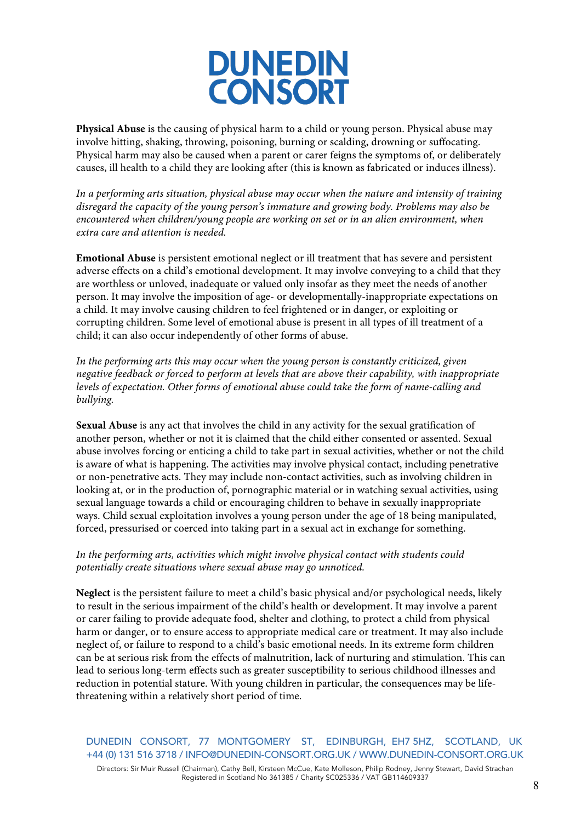

**Physical Abuse** is the causing of physical harm to a child or young person. Physical abuse may involve hitting, shaking, throwing, poisoning, burning or scalding, drowning or suffocating. Physical harm may also be caused when a parent or carer feigns the symptoms of, or deliberately causes, ill health to a child they are looking after (this is known as fabricated or induces illness).

*In a performing arts situation, physical abuse may occur when the nature and intensity of training disregard the capacity of the young person's immature and growing body. Problems may also be encountered when children/young people are working on set or in an alien environment, when extra care and attention is needed.*

**Emotional Abuse** is persistent emotional neglect or ill treatment that has severe and persistent adverse effects on a child's emotional development. It may involve conveying to a child that they are worthless or unloved, inadequate or valued only insofar as they meet the needs of another person. It may involve the imposition of age- or developmentally-inappropriate expectations on a child. It may involve causing children to feel frightened or in danger, or exploiting or corrupting children. Some level of emotional abuse is present in all types of ill treatment of a child; it can also occur independently of other forms of abuse.

*In the performing arts this may occur when the young person is constantly criticized, given negative feedback or forced to perform at levels that are above their capability, with inappropriate levels of expectation. Other forms of emotional abuse could take the form of name-calling and bullying.*

**Sexual Abuse** is any act that involves the child in any activity for the sexual gratification of another person, whether or not it is claimed that the child either consented or assented. Sexual abuse involves forcing or enticing a child to take part in sexual activities, whether or not the child is aware of what is happening. The activities may involve physical contact, including penetrative or non-penetrative acts. They may include non-contact activities, such as involving children in looking at, or in the production of, pornographic material or in watching sexual activities, using sexual language towards a child or encouraging children to behave in sexually inappropriate ways. Child sexual exploitation involves a young person under the age of 18 being manipulated, forced, pressurised or coerced into taking part in a sexual act in exchange for something.

### *In the performing arts, activities which might involve physical contact with students could potentially create situations where sexual abuse may go unnoticed.*

**Neglect** is the persistent failure to meet a child's basic physical and/or psychological needs, likely to result in the serious impairment of the child's health or development. It may involve a parent or carer failing to provide adequate food, shelter and clothing, to protect a child from physical harm or danger, or to ensure access to appropriate medical care or treatment. It may also include neglect of, or failure to respond to a child's basic emotional needs. In its extreme form children can be at serious risk from the effects of malnutrition, lack of nurturing and stimulation. This can lead to serious long-term effects such as greater susceptibility to serious childhood illnesses and reduction in potential stature. With young children in particular, the consequences may be lifethreatening within a relatively short period of time.

DUNEDIN CONSORT, 77 MONTGOMERY ST, EDINBURGH, EH7 5HZ, SCOTLAND, UK +44 (0) 131 516 3718 / INFO@DUNEDIN-CONSORT.ORG.UK / WWW.DUNEDIN-CONSORT.ORG.UK Directors: Sir Muir Russell (Chairman), Cathy Bell, Kirsteen McCue, Kate Molleson, Philip Rodney, Jenny Stewart, David Strachan Registered in Scotland No 361385 / Charity SC025336 / VAT GB114609337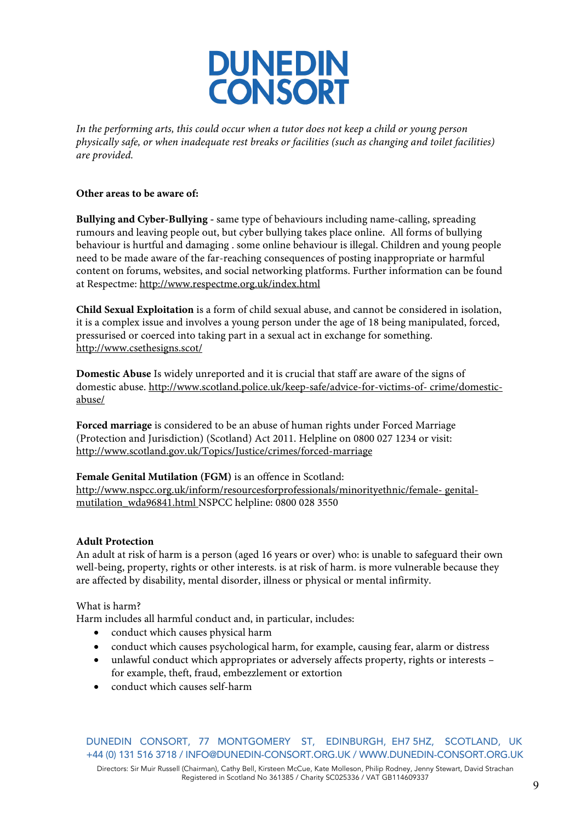

*In the performing arts, this could occur when a tutor does not keep a child or young person physically safe, or when inadequate rest breaks or facilities (such as changing and toilet facilities) are provided.*

#### **Other areas to be aware of:**

**Bullying and Cyber-Bullying -** same type of behaviours including name-calling, spreading rumours and leaving people out, but cyber bullying takes place online. All forms of bullying behaviour is hurtful and damaging . some online behaviour is illegal. Children and young people need to be made aware of the far-reaching consequences of posting inappropriate or harmful content on forums, websites, and social networking platforms. Further information can be found at Respectme: http://www.respectme.org.uk/index.html

**Child Sexual Exploitation** is a form of child sexual abuse, and cannot be considered in isolation, it is a complex issue and involves a young person under the age of 18 being manipulated, forced, pressurised or coerced into taking part in a sexual act in exchange for something. http://www.csethesigns.scot/

**Domestic Abuse** Is widely unreported and it is crucial that staff are aware of the signs of domestic abuse. http://www.scotland.police.uk/keep-safe/advice-for-victims-of- crime/domesticabuse/

**Forced marriage** is considered to be an abuse of human rights under Forced Marriage (Protection and Jurisdiction) (Scotland) Act 2011. Helpline on 0800 027 1234 or visit: http://www.scotland.gov.uk/Topics/Justice/crimes/forced-marriage

#### **Female Genital Mutilation (FGM)** is an offence in Scotland:

http://www.nspcc.org.uk/inform/resourcesforprofessionals/minorityethnic/female- genitalmutilation\_wda96841.html NSPCC helpline: 0800 028 3550

#### **Adult Protection**

An adult at risk of harm is a person (aged 16 years or over) who: is unable to safeguard their own well-being, property, rights or other interests. is at risk of harm. is more vulnerable because they are affected by disability, mental disorder, illness or physical or mental infirmity.

What is harm?

Harm includes all harmful conduct and, in particular, includes:

- conduct which causes physical harm
- conduct which causes psychological harm, for example, causing fear, alarm or distress
- unlawful conduct which appropriates or adversely affects property, rights or interests for example, theft, fraud, embezzlement or extortion
- conduct which causes self-harm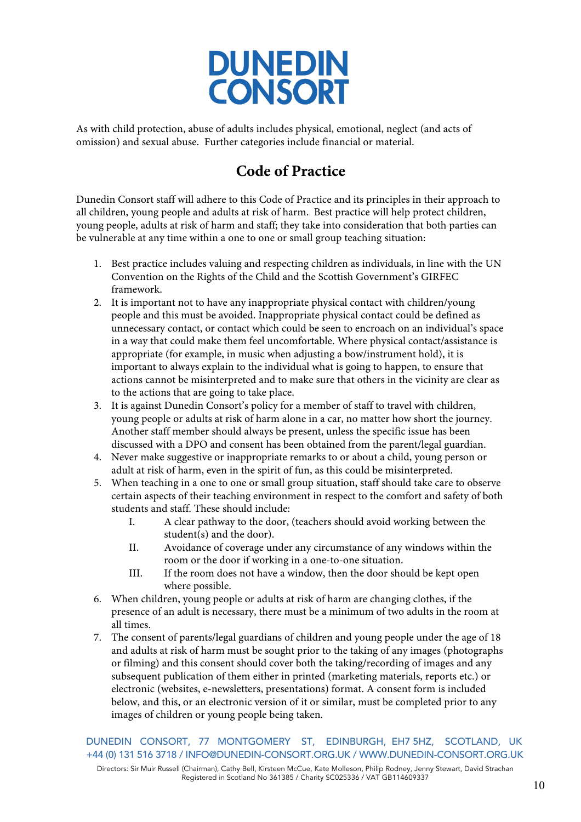

As with child protection, abuse of adults includes physical, emotional, neglect (and acts of omission) and sexual abuse. Further categories include financial or material.

# **Code of Practice**

Dunedin Consort staff will adhere to this Code of Practice and its principles in their approach to all children, young people and adults at risk of harm. Best practice will help protect children, young people, adults at risk of harm and staff; they take into consideration that both parties can be vulnerable at any time within a one to one or small group teaching situation:

- 1. Best practice includes valuing and respecting children as individuals, in line with the UN Convention on the Rights of the Child and the Scottish Government's GIRFEC framework.
- 2. It is important not to have any inappropriate physical contact with children/young people and this must be avoided. Inappropriate physical contact could be defined as unnecessary contact, or contact which could be seen to encroach on an individual's space in a way that could make them feel uncomfortable. Where physical contact/assistance is appropriate (for example, in music when adjusting a bow/instrument hold), it is important to always explain to the individual what is going to happen, to ensure that actions cannot be misinterpreted and to make sure that others in the vicinity are clear as to the actions that are going to take place.
- 3. It is against Dunedin Consort's policy for a member of staff to travel with children, young people or adults at risk of harm alone in a car, no matter how short the journey. Another staff member should always be present, unless the specific issue has been discussed with a DPO and consent has been obtained from the parent/legal guardian.
- 4. Never make suggestive or inappropriate remarks to or about a child, young person or adult at risk of harm, even in the spirit of fun, as this could be misinterpreted.
- 5. When teaching in a one to one or small group situation, staff should take care to observe certain aspects of their teaching environment in respect to the comfort and safety of both students and staff. These should include:
	- I. A clear pathway to the door, (teachers should avoid working between the student(s) and the door).
	- II. Avoidance of coverage under any circumstance of any windows within the room or the door if working in a one-to-one situation.
	- III. If the room does not have a window, then the door should be kept open where possible.
- 6. When children, young people or adults at risk of harm are changing clothes, if the presence of an adult is necessary, there must be a minimum of two adults in the room at all times.
- 7. The consent of parents/legal guardians of children and young people under the age of 18 and adults at risk of harm must be sought prior to the taking of any images (photographs or filming) and this consent should cover both the taking/recording of images and any subsequent publication of them either in printed (marketing materials, reports etc.) or electronic (websites, e-newsletters, presentations) format. A consent form is included below, and this, or an electronic version of it or similar, must be completed prior to any images of children or young people being taken.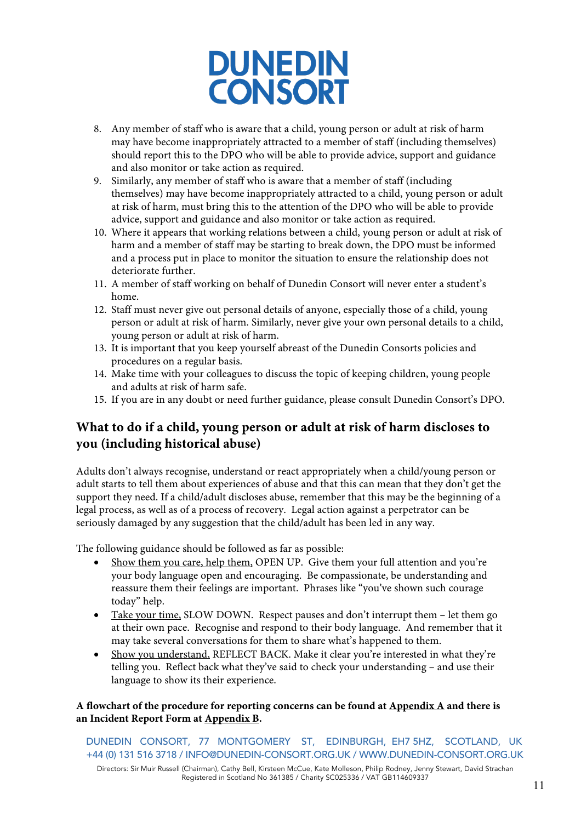

- 8. Any member of staff who is aware that a child, young person or adult at risk of harm may have become inappropriately attracted to a member of staff (including themselves) should report this to the DPO who will be able to provide advice, support and guidance and also monitor or take action as required.
- 9. Similarly, any member of staff who is aware that a member of staff (including themselves) may have become inappropriately attracted to a child, young person or adult at risk of harm, must bring this to the attention of the DPO who will be able to provide advice, support and guidance and also monitor or take action as required.
- 10. Where it appears that working relations between a child, young person or adult at risk of harm and a member of staff may be starting to break down, the DPO must be informed and a process put in place to monitor the situation to ensure the relationship does not deteriorate further.
- 11. A member of staff working on behalf of Dunedin Consort will never enter a student's home.
- 12. Staff must never give out personal details of anyone, especially those of a child, young person or adult at risk of harm. Similarly, never give your own personal details to a child, young person or adult at risk of harm.
- 13. It is important that you keep yourself abreast of the Dunedin Consorts policies and procedures on a regular basis.
- 14. Make time with your colleagues to discuss the topic of keeping children, young people and adults at risk of harm safe.
- 15. If you are in any doubt or need further guidance, please consult Dunedin Consort's DPO.

### **What to do if a child, young person or adult at risk of harm discloses to you (including historical abuse)**

Adults don't always recognise, understand or react appropriately when a child/young person or adult starts to tell them about experiences of abuse and that this can mean that they don't get the support they need. If a child/adult discloses abuse, remember that this may be the beginning of a legal process, as well as of a process of recovery. Legal action against a perpetrator can be seriously damaged by any suggestion that the child/adult has been led in any way.

The following guidance should be followed as far as possible:

- Show them you care, help them, OPEN UP. Give them your full attention and you're your body language open and encouraging. Be compassionate, be understanding and reassure them their feelings are important. Phrases like "you've shown such courage today" help.
- Take your time, SLOW DOWN. Respect pauses and don't interrupt them let them go at their own pace. Recognise and respond to their body language. And remember that it may take several conversations for them to share what's happened to them.
- Show you understand, REFLECT BACK. Make it clear you're interested in what they're telling you. Reflect back what they've said to check your understanding – and use their language to show its their experience.

### **A flowchart of the procedure for reporting concerns can be found at Appendix A and there is an Incident Report Form at Appendix B.**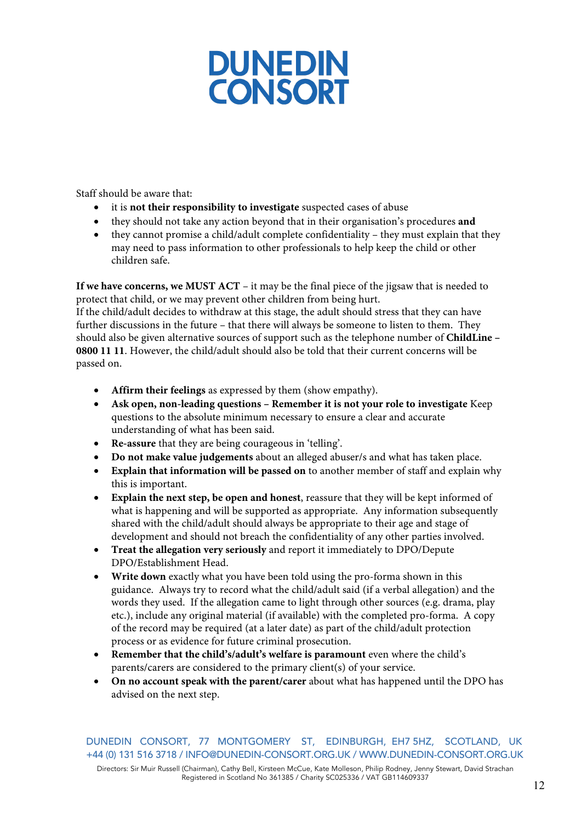

Staff should be aware that:

- it is **not their responsibility to investigate** suspected cases of abuse
- they should not take any action beyond that in their organisation's procedures **and**
- they cannot promise a child/adult complete confidentiality they must explain that they may need to pass information to other professionals to help keep the child or other children safe.

**If we have concerns, we MUST ACT** – it may be the final piece of the jigsaw that is needed to protect that child, or we may prevent other children from being hurt.

If the child/adult decides to withdraw at this stage, the adult should stress that they can have further discussions in the future – that there will always be someone to listen to them. They should also be given alternative sources of support such as the telephone number of **ChildLine – 0800 11 11**. However, the child/adult should also be told that their current concerns will be passed on.

- **Affirm their feelings** as expressed by them (show empathy).
- **Ask open, non-leading questions – Remember it is not your role to investigate** Keep questions to the absolute minimum necessary to ensure a clear and accurate understanding of what has been said.
- **Re-assure** that they are being courageous in 'telling'.
- **Do not make value judgements** about an alleged abuser/s and what has taken place.
- **Explain that information will be passed on** to another member of staff and explain why this is important.
- **Explain the next step, be open and honest**, reassure that they will be kept informed of what is happening and will be supported as appropriate. Any information subsequently shared with the child/adult should always be appropriate to their age and stage of development and should not breach the confidentiality of any other parties involved.
- **Treat the allegation very seriously** and report it immediately to DPO/Depute DPO/Establishment Head.
- **Write down** exactly what you have been told using the pro-forma shown in this guidance. Always try to record what the child/adult said (if a verbal allegation) and the words they used. If the allegation came to light through other sources (e.g. drama, play etc.), include any original material (if available) with the completed pro-forma. A copy of the record may be required (at a later date) as part of the child/adult protection process or as evidence for future criminal prosecution.
- **Remember that the child's/adult's welfare is paramount** even where the child's parents/carers are considered to the primary client(s) of your service.
- **On no account speak with the parent/carer** about what has happened until the DPO has advised on the next step.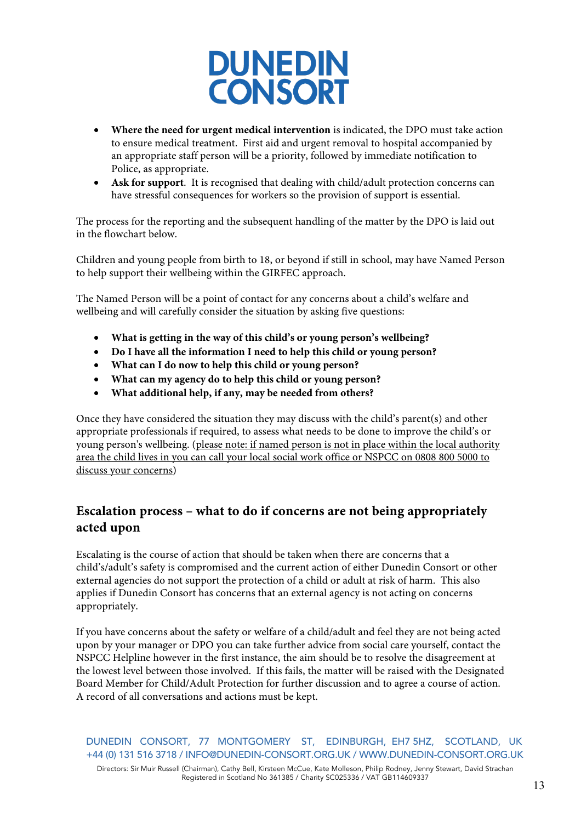

- **Where the need for urgent medical intervention** is indicated, the DPO must take action to ensure medical treatment. First aid and urgent removal to hospital accompanied by an appropriate staff person will be a priority, followed by immediate notification to Police, as appropriate.
- **Ask for support**. It is recognised that dealing with child/adult protection concerns can have stressful consequences for workers so the provision of support is essential.

The process for the reporting and the subsequent handling of the matter by the DPO is laid out in the flowchart below.

Children and young people from birth to 18, or beyond if still in school, may have Named Person to help support their wellbeing within the GIRFEC approach.

The Named Person will be a point of contact for any concerns about a child's welfare and wellbeing and will carefully consider the situation by asking five questions:

- **What is getting in the way of this child's or young person's wellbeing?**
- **Do I have all the information I need to help this child or young person?**
- **What can I do now to help this child or young person?**
- **What can my agency do to help this child or young person?**
- **What additional help, if any, may be needed from others?**

Once they have considered the situation they may discuss with the child's parent(s) and other appropriate professionals if required, to assess what needs to be done to improve the child's or young person's wellbeing. (please note: if named person is not in place within the local authority area the child lives in you can call your local social work office or NSPCC on 0808 800 5000 to discuss your concerns)

### **Escalation process – what to do if concerns are not being appropriately acted upon**

Escalating is the course of action that should be taken when there are concerns that a child's/adult's safety is compromised and the current action of either Dunedin Consort or other external agencies do not support the protection of a child or adult at risk of harm. This also applies if Dunedin Consort has concerns that an external agency is not acting on concerns appropriately.

If you have concerns about the safety or welfare of a child/adult and feel they are not being acted upon by your manager or DPO you can take further advice from social care yourself, contact the NSPCC Helpline however in the first instance, the aim should be to resolve the disagreement at the lowest level between those involved. If this fails, the matter will be raised with the Designated Board Member for Child/Adult Protection for further discussion and to agree a course of action. A record of all conversations and actions must be kept.

DUNEDIN CONSORT, 77 MONTGOMERY ST, EDINBURGH, EH7 5HZ, SCOTLAND, UK +44 (0) 131 516 3718 / INFO@DUNEDIN-CONSORT.ORG.UK / WWW.DUNEDIN-CONSORT.ORG.UK Directors: Sir Muir Russell (Chairman), Cathy Bell, Kirsteen McCue, Kate Molleson, Philip Rodney, Jenny Stewart, David Strachan Registered in Scotland No 361385 / Charity SC025336 / VAT GB114609337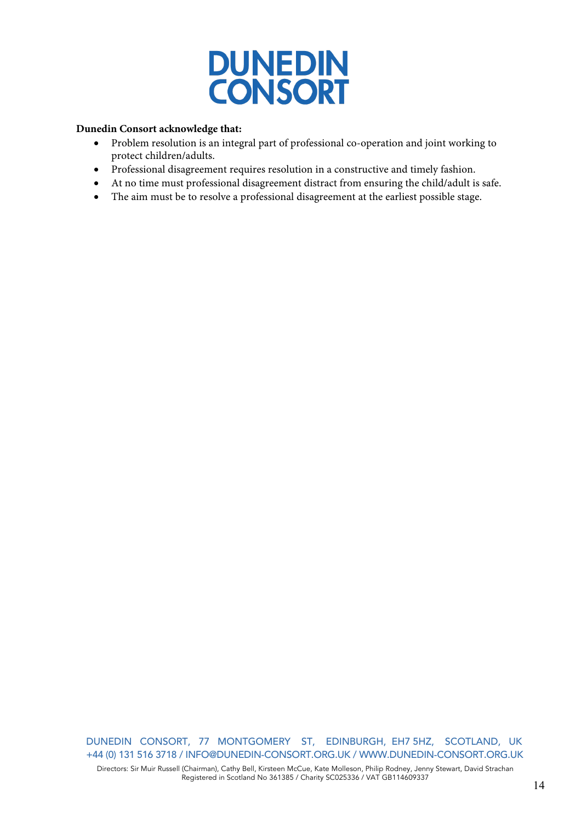

#### **Dunedin Consort acknowledge that:**

- Problem resolution is an integral part of professional co-operation and joint working to protect children/adults.
- Professional disagreement requires resolution in a constructive and timely fashion.
- At no time must professional disagreement distract from ensuring the child/adult is safe.
- The aim must be to resolve a professional disagreement at the earliest possible stage.

DUNEDIN CONSORT, 77 MONTGOMERY ST, EDINBURGH, EH7 5HZ, SCOTLAND, UK +44 (0) 131 516 3718 / INFO@DUNEDIN-CONSORT.ORG.UK / WWW.DUNEDIN-CONSORT.ORG.UK Directors: Sir Muir Russell (Chairman), Cathy Bell, Kirsteen McCue, Kate Molleson, Philip Rodney, Jenny Stewart, David Strachan Registered in Scotland No 361385 / Charity SC025336 / VAT GB114609337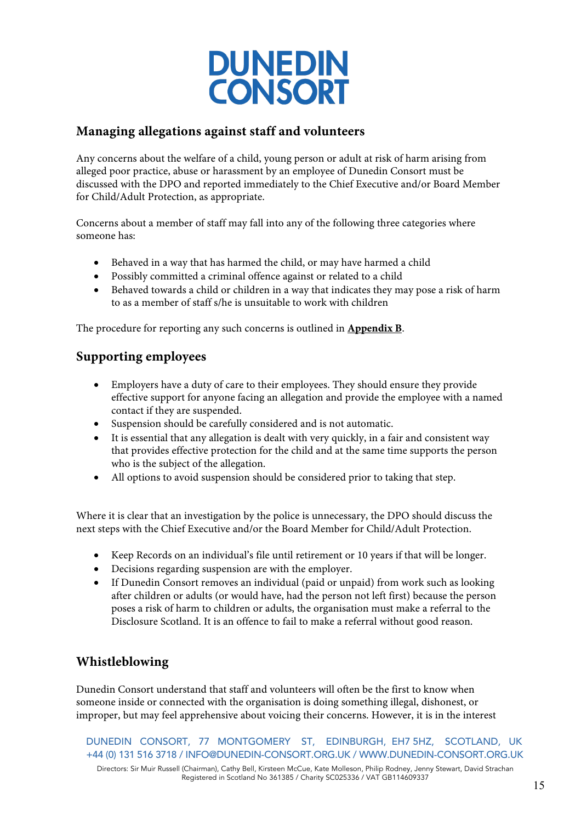

### **Managing allegations against staff and volunteers**

Any concerns about the welfare of a child, young person or adult at risk of harm arising from alleged poor practice, abuse or harassment by an employee of Dunedin Consort must be discussed with the DPO and reported immediately to the Chief Executive and/or Board Member for Child/Adult Protection, as appropriate.

Concerns about a member of staff may fall into any of the following three categories where someone has:

- Behaved in a way that has harmed the child, or may have harmed a child
- Possibly committed a criminal offence against or related to a child
- Behaved towards a child or children in a way that indicates they may pose a risk of harm to as a member of staff s/he is unsuitable to work with children

The procedure for reporting any such concerns is outlined in **Appendix B**.

### **Supporting employees**

- Employers have a duty of care to their employees. They should ensure they provide effective support for anyone facing an allegation and provide the employee with a named contact if they are suspended.
- Suspension should be carefully considered and is not automatic.
- It is essential that any allegation is dealt with very quickly, in a fair and consistent way that provides effective protection for the child and at the same time supports the person who is the subject of the allegation.
- All options to avoid suspension should be considered prior to taking that step.

Where it is clear that an investigation by the police is unnecessary, the DPO should discuss the next steps with the Chief Executive and/or the Board Member for Child/Adult Protection.

- Keep Records on an individual's file until retirement or 10 years if that will be longer.
- Decisions regarding suspension are with the employer.
- If Dunedin Consort removes an individual (paid or unpaid) from work such as looking after children or adults (or would have, had the person not left first) because the person poses a risk of harm to children or adults, the organisation must make a referral to the Disclosure Scotland. It is an offence to fail to make a referral without good reason.

### **Whistleblowing**

Dunedin Consort understand that staff and volunteers will often be the first to know when someone inside or connected with the organisation is doing something illegal, dishonest, or improper, but may feel apprehensive about voicing their concerns. However, it is in the interest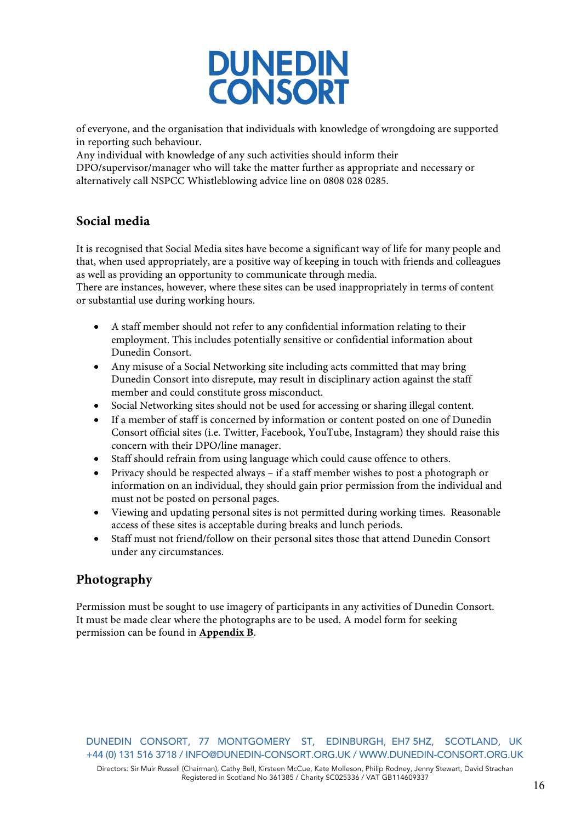

of everyone, and the organisation that individuals with knowledge of wrongdoing are supported in reporting such behaviour.

Any individual with knowledge of any such activities should inform their

DPO/supervisor/manager who will take the matter further as appropriate and necessary or alternatively call NSPCC Whistleblowing advice line on 0808 028 0285.

### **Social media**

It is recognised that Social Media sites have become a significant way of life for many people and that, when used appropriately, are a positive way of keeping in touch with friends and colleagues as well as providing an opportunity to communicate through media.

There are instances, however, where these sites can be used inappropriately in terms of content or substantial use during working hours.

- A staff member should not refer to any confidential information relating to their employment. This includes potentially sensitive or confidential information about Dunedin Consort.
- Any misuse of a Social Networking site including acts committed that may bring Dunedin Consort into disrepute, may result in disciplinary action against the staff member and could constitute gross misconduct.
- Social Networking sites should not be used for accessing or sharing illegal content.
- If a member of staff is concerned by information or content posted on one of Dunedin Consort official sites (i.e. Twitter, Facebook, YouTube, Instagram) they should raise this concern with their DPO/line manager.
- Staff should refrain from using language which could cause offence to others.
- Privacy should be respected always if a staff member wishes to post a photograph or information on an individual, they should gain prior permission from the individual and must not be posted on personal pages.
- Viewing and updating personal sites is not permitted during working times. Reasonable access of these sites is acceptable during breaks and lunch periods.
- Staff must not friend/follow on their personal sites those that attend Dunedin Consort under any circumstances.

### **Photography**

Permission must be sought to use imagery of participants in any activities of Dunedin Consort. It must be made clear where the photographs are to be used. A model form for seeking permission can be found in **Appendix B**.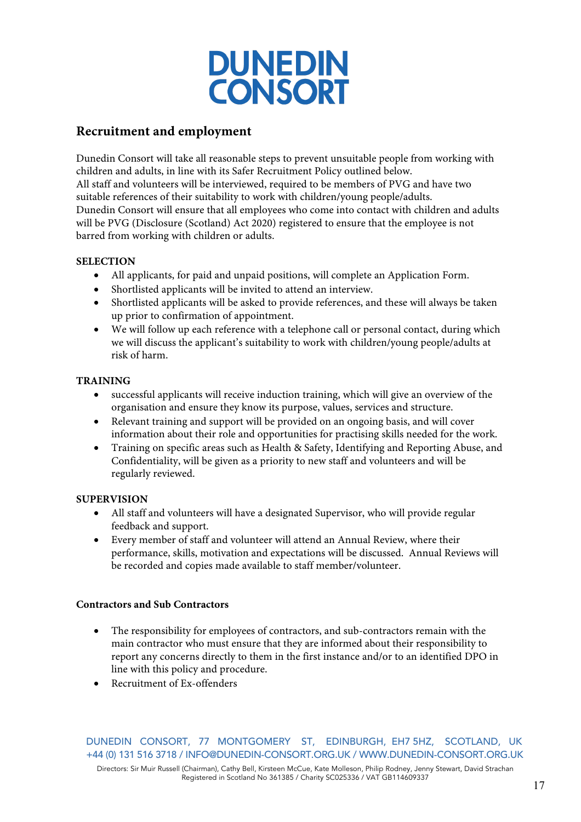

### **Recruitment and employment**

Dunedin Consort will take all reasonable steps to prevent unsuitable people from working with children and adults, in line with its Safer Recruitment Policy outlined below. All staff and volunteers will be interviewed, required to be members of PVG and have two suitable references of their suitability to work with children/young people/adults. Dunedin Consort will ensure that all employees who come into contact with children and adults will be PVG (Disclosure (Scotland) Act 2020) registered to ensure that the employee is not barred from working with children or adults.

### **SELECTION**

- All applicants, for paid and unpaid positions, will complete an Application Form.
- Shortlisted applicants will be invited to attend an interview.
- Shortlisted applicants will be asked to provide references, and these will always be taken up prior to confirmation of appointment.
- We will follow up each reference with a telephone call or personal contact, during which we will discuss the applicant's suitability to work with children/young people/adults at risk of harm.

#### **TRAINING**

- successful applicants will receive induction training, which will give an overview of the organisation and ensure they know its purpose, values, services and structure.
- Relevant training and support will be provided on an ongoing basis, and will cover information about their role and opportunities for practising skills needed for the work.
- Training on specific areas such as Health & Safety, Identifying and Reporting Abuse, and Confidentiality, will be given as a priority to new staff and volunteers and will be regularly reviewed.

#### **SUPERVISION**

- All staff and volunteers will have a designated Supervisor, who will provide regular feedback and support.
- Every member of staff and volunteer will attend an Annual Review, where their performance, skills, motivation and expectations will be discussed. Annual Reviews will be recorded and copies made available to staff member/volunteer.

### **Contractors and Sub Contractors**

- The responsibility for employees of contractors, and sub-contractors remain with the main contractor who must ensure that they are informed about their responsibility to report any concerns directly to them in the first instance and/or to an identified DPO in line with this policy and procedure.
- Recruitment of Ex-offenders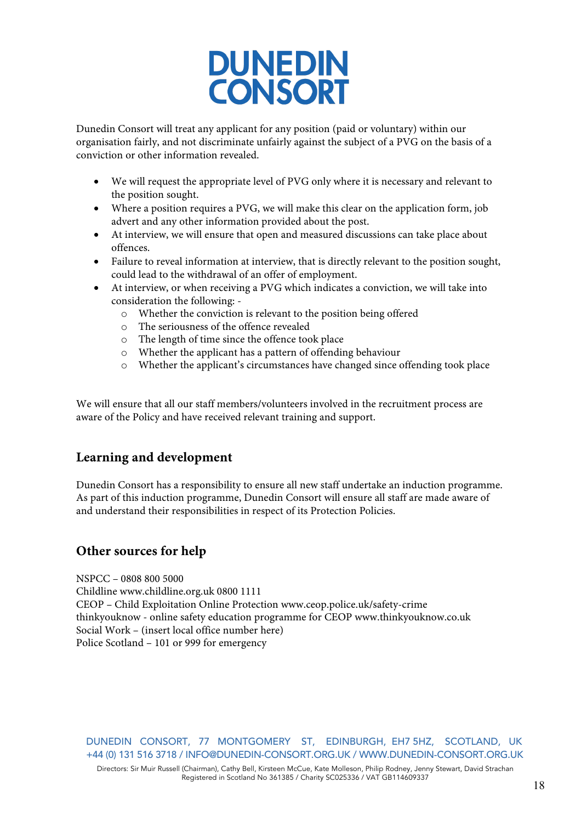

Dunedin Consort will treat any applicant for any position (paid or voluntary) within our organisation fairly, and not discriminate unfairly against the subject of a PVG on the basis of a conviction or other information revealed.

- We will request the appropriate level of PVG only where it is necessary and relevant to the position sought.
- Where a position requires a PVG, we will make this clear on the application form, job advert and any other information provided about the post.
- At interview, we will ensure that open and measured discussions can take place about offences.
- Failure to reveal information at interview, that is directly relevant to the position sought, could lead to the withdrawal of an offer of employment.
- At interview, or when receiving a PVG which indicates a conviction, we will take into consideration the following:
	- o Whether the conviction is relevant to the position being offered
	- o The seriousness of the offence revealed
	- o The length of time since the offence took place
	- o Whether the applicant has a pattern of offending behaviour
	- o Whether the applicant's circumstances have changed since offending took place

We will ensure that all our staff members/volunteers involved in the recruitment process are aware of the Policy and have received relevant training and support.

### **Learning and development**

Dunedin Consort has a responsibility to ensure all new staff undertake an induction programme. As part of this induction programme, Dunedin Consort will ensure all staff are made aware of and understand their responsibilities in respect of its Protection Policies.

### **Other sources for help**

NSPCC – 0808 800 5000

Childline www.childline.org.uk 0800 1111 CEOP – Child Exploitation Online Protection www.ceop.police.uk/safety-crime thinkyouknow - online safety education programme for CEOP www.thinkyouknow.co.uk Social Work – (insert local office number here) Police Scotland – 101 or 999 for emergency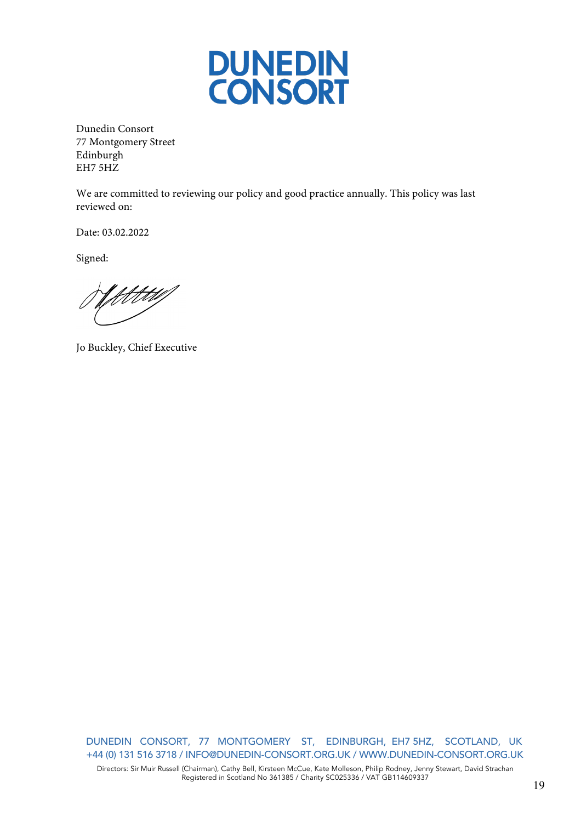

Dunedin Consort 77 Montgomery Street Edinburgh EH7 5HZ

We are committed to reviewing our policy and good practice annually. This policy was last reviewed on:

Date: 03.02.2022

Signed:

Yttttill

Jo Buckley, Chief Executive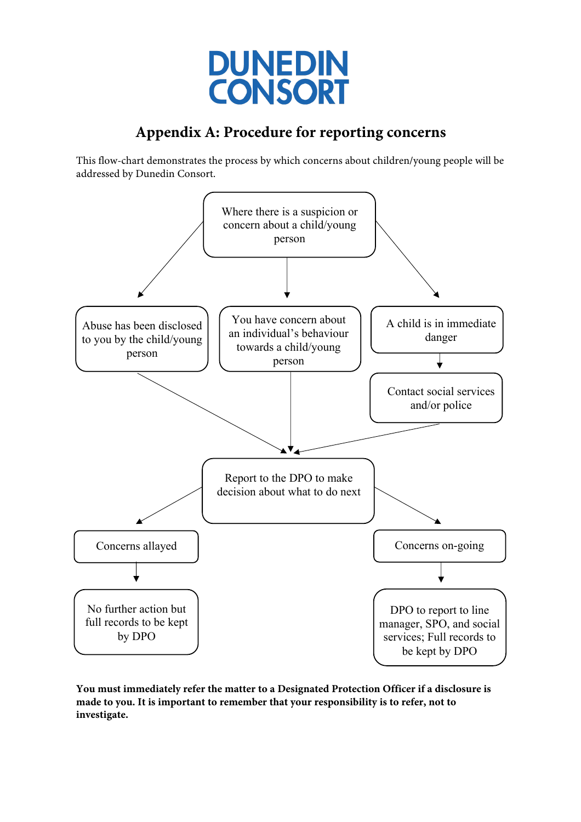

# **Appendix A: Procedure for reporting concerns**

This flow-chart demonstrates the process by which concerns about children/young people will be addressed by Dunedin Consort.



**You must immediately refer the matter to a Designated Protection Officer if a disclosure is made to you. It is important to remember that your responsibility is to refer, not to investigate.**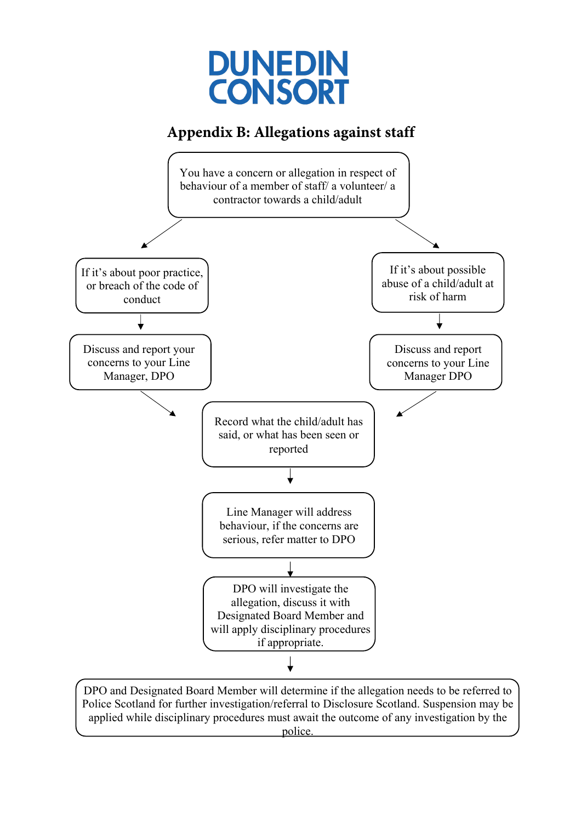

## **Appendix B: Allegations against staff**



DPO and Designated Board Member will determine if the allegation needs to be referred to Police Scotland for further investigation/referral to Disclosure Scotland. Suspension may be applied while disciplinary procedures must await the outcome of any investigation by the police.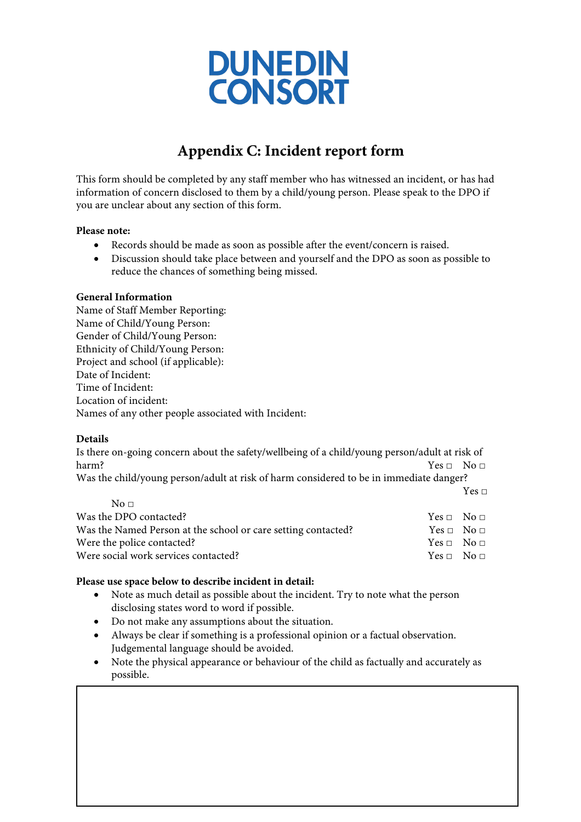

# **Appendix C: Incident report form**

This form should be completed by any staff member who has witnessed an incident, or has had information of concern disclosed to them by a child/young person. Please speak to the DPO if you are unclear about any section of this form.

#### **Please note:**

- Records should be made as soon as possible after the event/concern is raised.
- Discussion should take place between and yourself and the DPO as soon as possible to reduce the chances of something being missed.

#### **General Information**

Name of Staff Member Reporting: Name of Child/Young Person: Gender of Child/Young Person: Ethnicity of Child/Young Person: Project and school (if applicable): Date of Incident: Time of Incident: Location of incident: Names of any other people associated with Incident:

### **Details**

Is there on-going concern about the safety/wellbeing of a child/young person/adult at risk of harm? Yes □ No □ Was the child/young person/adult at risk of harm considered to be in immediate danger?

Yes  $\Box$ 

| $N\alpha \Box$                                                |                        |  |
|---------------------------------------------------------------|------------------------|--|
| Was the DPO contacted?                                        | $Yes \Box No \Box$     |  |
| Was the Named Person at the school or care setting contacted? | $Yes \Box No \Box$     |  |
| Were the police contacted?                                    | $Yes \sqcap No \sqcap$ |  |
| Were social work services contacted?                          | $Yes \sqcap No \sqcap$ |  |
|                                                               |                        |  |

#### **Please use space below to describe incident in detail:**

- Note as much detail as possible about the incident. Try to note what the person disclosing states word to word if possible.
- Do not make any assumptions about the situation.
- Always be clear if something is a professional opinion or a factual observation. Judgemental language should be avoided.
- Note the physical appearance or behaviour of the child as factually and accurately as possible.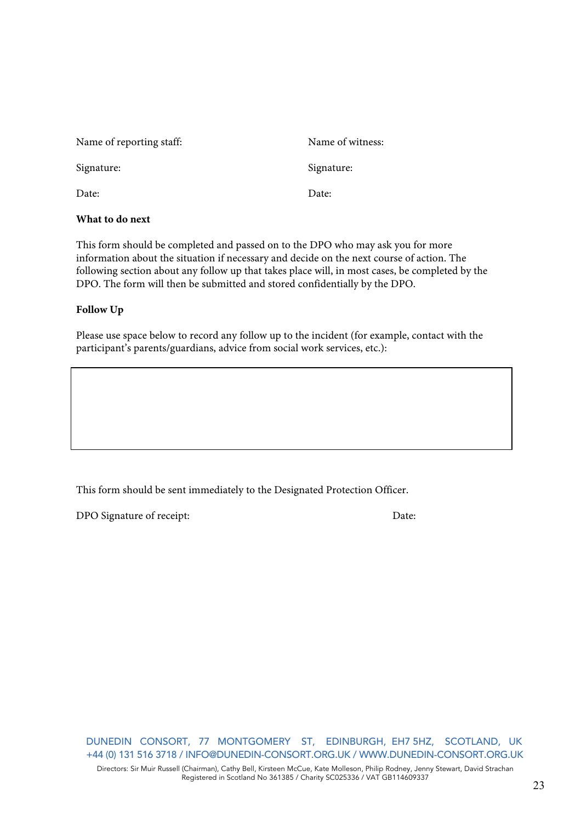| What to do next          |                  |
|--------------------------|------------------|
| Date:                    | Date:            |
| Signature:               | Signature:       |
| Name of reporting staff: | Name of witness: |

This form should be completed and passed on to the DPO who may ask you for more information about the situation if necessary and decide on the next course of action. The following section about any follow up that takes place will, in most cases, be completed by the DPO. The form will then be submitted and stored confidentially by the DPO.

### **Follow Up**

Please use space below to record any follow up to the incident (for example, contact with the participant's parents/guardians, advice from social work services, etc.):

This form should be sent immediately to the Designated Protection Officer.

DPO Signature of receipt: Date: